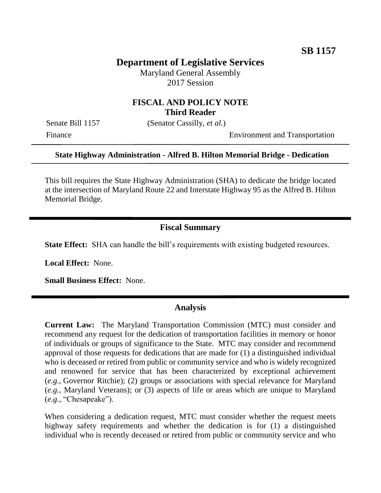# **Department of Legislative Services**

Maryland General Assembly 2017 Session

### **FISCAL AND POLICY NOTE Third Reader**

Senate Bill 1157 (Senator Cassilly, *et al.*)

Finance Environment and Transportation

#### **State Highway Administration - Alfred B. Hilton Memorial Bridge - Dedication**

This bill requires the State Highway Administration (SHA) to dedicate the bridge located at the intersection of Maryland Route 22 and Interstate Highway 95 as the Alfred B. Hilton Memorial Bridge.

## **Fiscal Summary**

**State Effect:** SHA can handle the bill's requirements with existing budgeted resources.

**Local Effect:** None.

**Small Business Effect:** None.

#### **Analysis**

**Current Law:** The Maryland Transportation Commission (MTC) must consider and recommend any request for the dedication of transportation facilities in memory or honor of individuals or groups of significance to the State. MTC may consider and recommend approval of those requests for dedications that are made for (1) a distinguished individual who is deceased or retired from public or community service and who is widely recognized and renowned for service that has been characterized by exceptional achievement (*e.g.*, Governor Ritchie); (2) groups or associations with special relevance for Maryland (*e.g.*, Maryland Veterans); or (3) aspects of life or areas which are unique to Maryland (*e.g.*, "Chesapeake").

When considering a dedication request, MTC must consider whether the request meets highway safety requirements and whether the dedication is for (1) a distinguished individual who is recently deceased or retired from public or community service and who